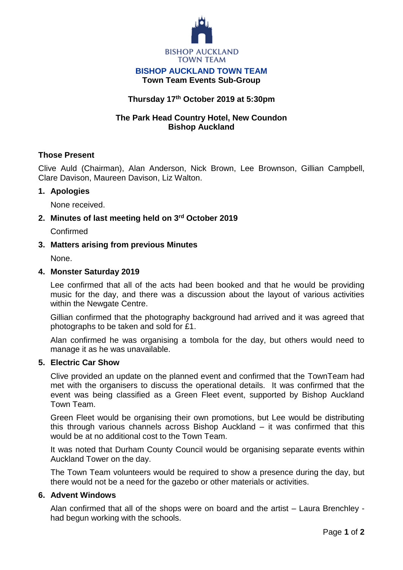

#### **BISHOP AUCKLAND TOWN TEAM Town Team Events Sub-Group**

# **Thursday 17th October 2019 at 5:30pm**

# **The Park Head Country Hotel, New Coundon Bishop Auckland**

## **Those Present**

Clive Auld (Chairman), Alan Anderson, Nick Brown, Lee Brownson, Gillian Campbell, Clare Davison, Maureen Davison, Liz Walton.

## **1. Apologies**

None received.

## **2. Minutes of last meeting held on 3 rd October 2019**

Confirmed

## **3. Matters arising from previous Minutes**

None.

#### **4. Monster Saturday 2019**

Lee confirmed that all of the acts had been booked and that he would be providing music for the day, and there was a discussion about the layout of various activities within the Newgate Centre.

Gillian confirmed that the photography background had arrived and it was agreed that photographs to be taken and sold for £1.

Alan confirmed he was organising a tombola for the day, but others would need to manage it as he was unavailable.

#### **5. Electric Car Show**

Clive provided an update on the planned event and confirmed that the TownTeam had met with the organisers to discuss the operational details. It was confirmed that the event was being classified as a Green Fleet event, supported by Bishop Auckland Town Team.

Green Fleet would be organising their own promotions, but Lee would be distributing this through various channels across Bishop Auckland – it was confirmed that this would be at no additional cost to the Town Team.

It was noted that Durham County Council would be organising separate events within Auckland Tower on the day.

The Town Team volunteers would be required to show a presence during the day, but there would not be a need for the gazebo or other materials or activities.

#### **6. Advent Windows**

Alan confirmed that all of the shops were on board and the artist – Laura Brenchley had begun working with the schools.